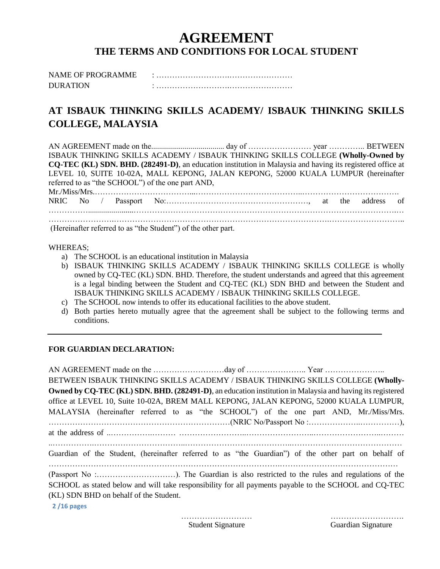# **AGREEMENT THE TERMS AND CONDITIONS FOR LOCAL STUDENT**

| <b>NAME OF PROGRAMME</b> |  |
|--------------------------|--|
| <b>DURATION</b>          |  |

# **AT ISBAUK THINKING SKILLS ACADEMY/ ISBAUK THINKING SKILLS COLLEGE, MALAYSIA**

AN AGREEMENT made on the..................................... day of …………………… year ………….. BETWEEN ISBAUK THINKING SKILLS ACADEMY / ISBAUK THINKING SKILLS COLLEGE **(Wholly-Owned by CQ-TEC (KL) SDN. BHD. (282491-D)**, an education institution in Malaysia and having its registered office at LEVEL 10, SUITE 10-02A, MALL KEPONG, JALAN KEPONG, 52000 KUALA LUMPUR (hereinafter referred to as "the SCHOOL") of the one part AND, Mr./Miss/Mrs.………………………………...…………………………………..………………………………. NRIC No / Passport No:………………………………………………, at the address of …………….......................……………………………………………………………………………………….… …………………….……………………………………………………………………….………………………..

(Hereinafter referred to as "the Student") of the other part.

#### WHEREAS;

- a) The SCHOOL is an educational institution in Malaysia
- b) ISBAUK THINKING SKILLS ACADEMY / ISBAUK THINKING SKILLS COLLEGE is wholly owned by CQ-TEC (KL) SDN. BHD. Therefore, the student understands and agreed that this agreement is a legal binding between the Student and CQ-TEC (KL) SDN BHD and between the Student and ISBAUK THINKING SKILLS ACADEMY / ISBAUK THINKING SKILLS COLLEGE.
- c) The SCHOOL now intends to offer its educational facilities to the above student.
- d) Both parties hereto mutually agree that the agreement shall be subject to the following terms and conditions.

### **FOR GUARDIAN DECLARATION:**

**2 /16 pages** AN AGREEMENT made on the ………………………day of ………………….. Year ………………….. BETWEEN ISBAUK THINKING SKILLS ACADEMY / ISBAUK THINKING SKILLS COLLEGE **(Wholly-Owned by CQ-TEC (KL) SDN. BHD. (282491-D)**, an education institution in Malaysia and having its registered office at LEVEL 10, Suite 10-02A, BREM MALL KEPONG, JALAN KEPONG, 52000 KUALA LUMPUR, MALAYSIA (hereinafter referred to as "the SCHOOL") of the one part AND, Mr./Miss/Mrs. ……………………………………………………………(NRIC No/Passport No :………………..……………), at the address of ..…………….……… ……………………..……………………..……………………..……… ..…………….……………………………..…………………………………..…………………………………… Guardian of the Student, (hereinafter referred to as "the Guardian") of the other part on behalf of …………………………………………………………………………….……………………………………… (Passport No :…………………………). The Guardian is also restricted to the rules and regulations of the SCHOOL as stated below and will take responsibility for all payments payable to the SCHOOL and CQ-TEC (KL) SDN BHD on behalf of the Student.

Student Signature Guardian Signature

……………………… ……………………….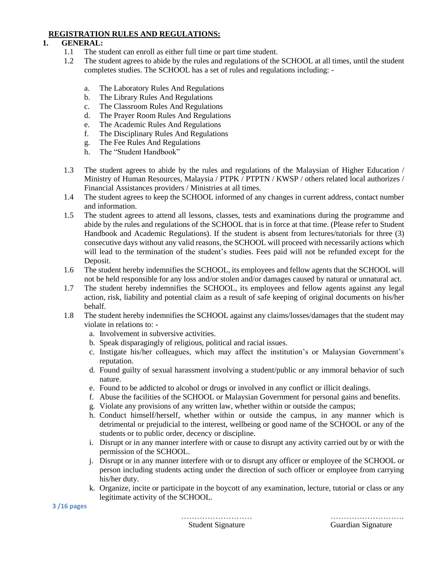## **REGISTRATION RULES AND REGULATIONS:**

## **1. GENERAL:**

- 1.1 The student can enroll as either full time or part time student.
- 1.2 The student agrees to abide by the rules and regulations of the SCHOOL at all times, until the student completes studies. The SCHOOL has a set of rules and regulations including:
	- a. The Laboratory Rules And Regulations
	- b. The Library Rules And Regulations
	- c. The Classroom Rules And Regulations
	- d. The Prayer Room Rules And Regulations
	- e. The Academic Rules And Regulations
	- f. The Disciplinary Rules And Regulations
	- g. The Fee Rules And Regulations
	- h. The "Student Handbook"
- 1.3 The student agrees to abide by the rules and regulations of the Malaysian of Higher Education / Ministry of Human Resources, Malaysia / PTPK / PTPTN / KWSP / others related local authorizes / Financial Assistances providers / Ministries at all times.
- 1.4 The student agrees to keep the SCHOOL informed of any changes in current address, contact number and information.
- 1.5 The student agrees to attend all lessons, classes, tests and examinations during the programme and abide by the rules and regulations of the SCHOOL that is in force at that time. (Please refer to Student Handbook and Academic Regulations). If the student is absent from lectures/tutorials for three (3) consecutive days without any valid reasons, the SCHOOL will proceed with necessarily actions which will lead to the termination of the student's studies. Fees paid will not be refunded except for the Deposit.
- 1.6 The student hereby indemnifies the SCHOOL, its employees and fellow agents that the SCHOOL will not be held responsible for any loss and/or stolen and/or damages caused by natural or unnatural act.
- 1.7 The student hereby indemnifies the SCHOOL, its employees and fellow agents against any legal action, risk, liability and potential claim as a result of safe keeping of original documents on his/her behalf.
- 1.8 The student hereby indemnifies the SCHOOL against any claims/losses/damages that the student may violate in relations to:
	- a. Involvement in subversive activities.
	- b. Speak disparagingly of religious, political and racial issues.
	- c. Instigate his/her colleagues, which may affect the institution's or Malaysian Government's reputation.
	- d. Found guilty of sexual harassment involving a student/public or any immoral behavior of such nature.
	- e. Found to be addicted to alcohol or drugs or involved in any conflict or illicit dealings.
	- f. Abuse the facilities of the SCHOOL or Malaysian Government for personal gains and benefits.
	- g. Violate any provisions of any written law, whether within or outside the campus;
	- h. Conduct himself/herself, whether within or outside the campus, in any manner which is detrimental or prejudicial to the interest, wellbeing or good name of the SCHOOL or any of the students or to public order, decency or discipline.
	- i. Disrupt or in any manner interfere with or cause to disrupt any activity carried out by or with the permission of the SCHOOL.
	- j. Disrupt or in any manner interfere with or to disrupt any officer or employee of the SCHOOL or person including students acting under the direction of such officer or employee from carrying his/her duty.
	- k. Organize, incite or participate in the boycott of any examination, lecture, tutorial or class or any legitimate activity of the SCHOOL.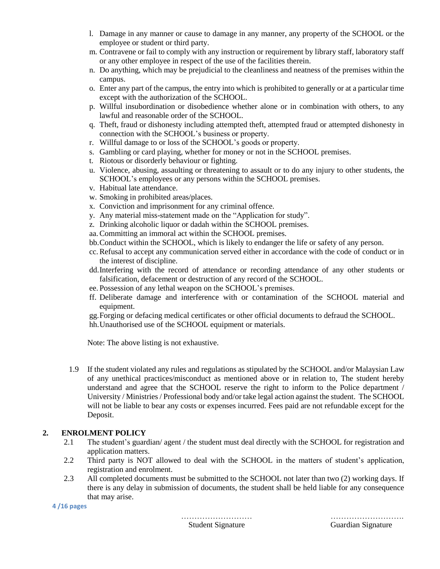- l. Damage in any manner or cause to damage in any manner, any property of the SCHOOL or the employee or student or third party.
- m. Contravene or fail to comply with any instruction or requirement by library staff, laboratory staff or any other employee in respect of the use of the facilities therein.
- n. Do anything, which may be prejudicial to the cleanliness and neatness of the premises within the campus.
- o. Enter any part of the campus, the entry into which is prohibited to generally or at a particular time except with the authorization of the SCHOOL.
- p. Willful insubordination or disobedience whether alone or in combination with others, to any lawful and reasonable order of the SCHOOL.
- q. Theft, fraud or dishonesty including attempted theft, attempted fraud or attempted dishonesty in connection with the SCHOOL's business or property.
- r. Willful damage to or loss of the SCHOOL's goods or property.
- s. Gambling or card playing, whether for money or not in the SCHOOL premises.
- t. Riotous or disorderly behaviour or fighting.
- u. Violence, abusing, assaulting or threatening to assault or to do any injury to other students, the SCHOOL's employees or any persons within the SCHOOL premises.
- v. Habitual late attendance.
- w. Smoking in prohibited areas/places.
- x. Conviction and imprisonment for any criminal offence.
- y. Any material miss-statement made on the "Application for study".
- z. Drinking alcoholic liquor or dadah within the SCHOOL premises.
- aa.Committing an immoral act within the SCHOOL premises.
- bb.Conduct within the SCHOOL, which is likely to endanger the life or safety of any person.
- cc.Refusal to accept any communication served either in accordance with the code of conduct or in the interest of discipline.
- dd.Interfering with the record of attendance or recording attendance of any other students or falsification, defacement or destruction of any record of the SCHOOL.
- ee. Possession of any lethal weapon on the SCHOOL's premises.
- ff. Deliberate damage and interference with or contamination of the SCHOOL material and equipment.
- gg.Forging or defacing medical certificates or other official documents to defraud the SCHOOL.
- hh.Unauthorised use of the SCHOOL equipment or materials.

Note: The above listing is not exhaustive.

1.9 If the student violated any rules and regulations as stipulated by the SCHOOL and/or Malaysian Law of any unethical practices/misconduct as mentioned above or in relation to, The student hereby understand and agree that the SCHOOL reserve the right to inform to the Police department / University / Ministries / Professional body and/or take legal action against the student. The SCHOOL will not be liable to bear any costs or expenses incurred. Fees paid are not refundable except for the Deposit.

# **2. ENROLMENT POLICY**

- 2.1 The student's guardian/ agent / the student must deal directly with the SCHOOL for registration and application matters.
- 2.2 Third party is NOT allowed to deal with the SCHOOL in the matters of student's application, registration and enrolment.
- 2.3 All completed documents must be submitted to the SCHOOL not later than two (2) working days. If there is any delay in submission of documents, the student shall be held liable for any consequence that may arise.

**4 /16 pages**

……………………… ……………………….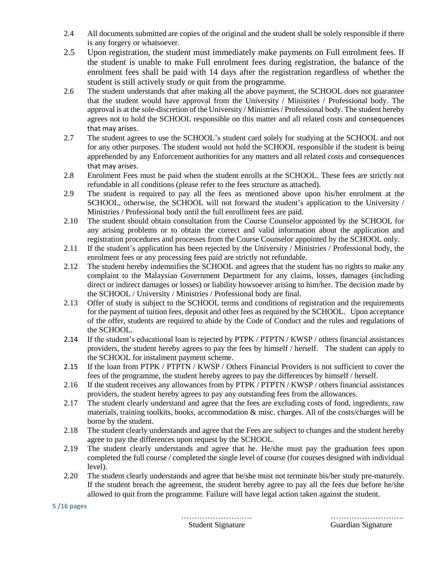- 2.4 All documents submitted are copies of the original and the student shall be solely responsible if there is any forgery or whatsoever.
- 2.5 Upon registration, the student must immediately make payments on Full enrolment fees. If the student is unable to make Full enrolment fees during registration, the balance of the enrolment fees shall be paid with 14 days after the registration regardless of whether the student is still actively study or quit from the programme.
- 2.6 The student understands that after making all the above payment, the SCHOOL does not guarantee that the student would have approval from the University / Ministries / Professional body. The approval is at the sole-discretion of the University / Ministries / Professional body. The student hereby agrees not to hold the SCHOOL responsible on this matter and all related costs and consequences that may arises.
- 2.7 The student agrees to use the SCHOOL's student card solely for studying at the SCHOOL and not for any other purposes. The student would not hold the SCHOOL responsible if the student is being apprehended by any Enforcement authorities for any matters and all related costs and consequences that may arises.
- 2.8 Enrolment Fees must be paid when the student enrolls at the SCHOOL. These fees are strictly not refundable in all conditions (please refer to the fees structure as attached).
- 2.9 The student is required to pay all the fees as mentioned above upon his/her enrolment at the SCHOOL, otherwise, the SCHOOL will not forward the student's application to the University / Ministries / Professional body until the full enrollment fees are paid.
- 2.10 The student should obtain consultation from the Course Counselor appointed by the SCHOOL for any arising problems or to obtain the correct and valid information about the application and registration procedures and processes from the Course Counselor appointed by the SCHOOL only.
- 2.11 If the student's application has been rejected by the University / Ministries / Professional body, the enrolment fees or any processing fees paid are strictly not refundable.
- 2.12 The student hereby indemnifies the SCHOOL and agrees that the student has no rights to make any complaint to the Malaysian Government Department for any claims, losses, damages (including direct or indirect damages or losses) or liability howsoever arising to him/her. The decision made by the SCHOOL / University / Ministries / Professional body are final.
- 2.13 Offer of study is subject to the SCHOOL terms and conditions of registration and the requirements for the payment of tuition fees, deposit and other fees as required by the SCHOOL. Upon acceptance of the offer, students are required to abide by the Code of Conduct and the rules and regulations of the SCHOOL.
- 2.14 If the student's educational loan is rejected by PTPK / PTPTN / KWSP / others financial assistances providers, the student hereby agrees to pay the fees by himself / herself. The student can apply to the SCHOOL for instalment payment scheme.
- 2.15 If the loan from PTPK / PTPTN / KWSP / Others Financial Providers is not sufficient to cover the fees of the programme, the student hereby agrees to pay the differences by himself / herself.
- 2.16 If the student receives any allowances from by PTPK / PTPTN / KWSP / others financial assistances providers, the student hereby agrees to pay any outstanding fees from the allowances.
- 2.17 The student clearly understand and agree that the fees are excluding costs of food, ingredients, raw materials, training toolkits, books, accommodation & misc. charges. All of the costs/charges will be borne by the student.
- 2.18 The student clearly understands and agree that the Fees are subject to changes and the student hereby agree to pay the differences upon request by the SCHOOL.
- 2.19 The student clearly understands and agree that he. He/she must pay the graduation fees upon completed the full course / completed the single level of course (for courses designed with individual level).
- 2.20 The student clearly understands and agree that he/she must not terminate his/her study pre-maturely. If the student breach the agreement, the student hereby agree to pay all the fees due before he/she allowed to quit from the programme. Failure will have legal action taken against the student.

#### **5 /16 pages**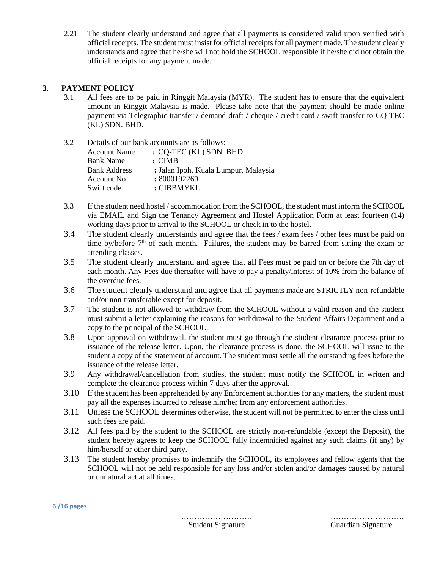2.21 The student clearly understand and agree that all payments is considered valid upon verified with official receipts. The student must insist for official receipts for all payment made. The student clearly understands and agree that he/she will not hold the SCHOOL responsible if he/she did not obtain the official receipts for any payment made.

# **3. PAYMENT POLICY**

3.1 All fees are to be paid in Ringgit Malaysia (MYR). The student has to ensure that the equivalent amount in Ringgit Malaysia is made. Please take note that the payment should be made online payment via Telegraphic transfer / demand draft / cheque / credit card / swift transfer to CQ-TEC (KL) SDN. BHD.

| 3.2 | Details of our bank accounts are as follows: |                                      |  |  |
|-----|----------------------------------------------|--------------------------------------|--|--|
|     | <b>Account Name</b>                          | : CQ-TEC (KL) SDN. BHD.              |  |  |
|     | <b>Bank Name</b>                             | $\cdot$ CIMB                         |  |  |
|     | <b>Bank Address</b>                          | : Jalan Ipoh, Kuala Lumpur, Malaysia |  |  |
|     | Account No.                                  | : 8000192269                         |  |  |
|     | Swift code                                   | : CIBBMYKL                           |  |  |

- 3.3 If the student need hostel / accommodation from the SCHOOL, the student must inform the SCHOOL via EMAIL and Sign the Tenancy Agreement and Hostel Application Form at least fourteen (14) working days prior to arrival to the SCHOOL or check in to the hostel.
- 3.4 The student clearly understands and agree that the fees / exam fees / other fees must be paid on time by/before  $7<sup>th</sup>$  of each month. Failures, the student may be barred from sitting the exam or attending classes.
- 3.5 The student clearly understand and agree that all Fees must be paid on or before the 7th day of each month. Any Fees due thereafter will have to pay a penalty/interest of 10% from the balance of the overdue fees.
- 3.6 The student clearly understand and agree that all payments made are STRICTLY non-refundable and/or non-transferable except for deposit.
- 3.7 The student is not allowed to withdraw from the SCHOOL without a valid reason and the student must submit a letter explaining the reasons for withdrawal to the Student Affairs Department and a copy to the principal of the SCHOOL.
- 3.8 Upon approval on withdrawal, the student must go through the student clearance process prior to issuance of the release letter. Upon, the clearance process is done, the SCHOOL will issue to the student a copy of the statement of account. The student must settle all the outstanding fees before the issuance of the release letter.
- 3.9 Any withdrawal/cancellation from studies, the student must notify the SCHOOL in written and complete the clearance process within 7 days after the approval.
- 3.10 If the student has been apprehended by any Enforcement authorities for any matters, the student must pay all the expenses incurred to release him/her from any enforcement authorities.
- 3.11 Unless the SCHOOL determines otherwise, the student will not be permitted to enter the class until such fees are paid.
- 3.12 All fees paid by the student to the SCHOOL are strictly non-refundable (except the Deposit), the student hereby agrees to keep the SCHOOL fully indemnified against any such claims (if any) by him/herself or other third party.
- 3.13 The student hereby promises to indemnify the SCHOOL, its employees and fellow agents that the SCHOOL will not be held responsible for any loss and/or stolen and/or damages caused by natural or unnatural act at all times.

**6 /16 pages**

……………………… ……………………….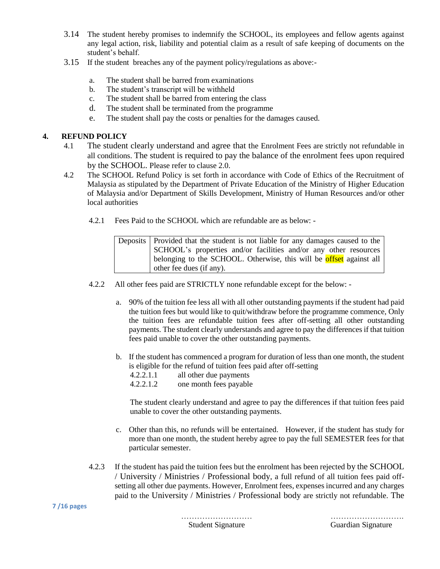- 3.14 The student hereby promises to indemnify the SCHOOL, its employees and fellow agents against any legal action, risk, liability and potential claim as a result of safe keeping of documents on the student's behalf.
- 3.15 If the student breaches any of the payment policy/regulations as above:
	- a. The student shall be barred from examinations
	- b. The student's transcript will be withheld
	- c. The student shall be barred from entering the class
	- d. The student shall be terminated from the programme
	- e. The student shall pay the costs or penalties for the damages caused.

## **4. REFUND POLICY**

- 4.1 The student clearly understand and agree that the Enrolment Fees are strictly not refundable in all conditions. The student is required to pay the balance of the enrolment fees upon required by the SCHOOL. Please refer to clause 2.0.
- 4.2 The SCHOOL Refund Policy is set forth in accordance with Code of Ethics of the Recruitment of Malaysia as stipulated by the Department of Private Education of the Ministry of Higher Education of Malaysia and/or Department of Skills Development, Ministry of Human Resources and/or other local authorities
	- 4.2.1 Fees Paid to the SCHOOL which are refundable are as below: -

Deposits | Provided that the student is not liable for any damages caused to the SCHOOL's properties and/or facilities and/or any other resources belonging to the SCHOOL. Otherwise, this will be **offset** against all other fee dues (if any).

- 4.2.2 All other fees paid are STRICTLY none refundable except for the below:
	- a. 90% of the tuition fee less all with all other outstanding payments if the student had paid the tuition fees but would like to quit/withdraw before the programme commence, Only the tuition fees are refundable tuition fees after off-setting all other outstanding payments. The student clearly understands and agree to pay the differences if that tuition fees paid unable to cover the other outstanding payments.
	- b. If the student has commenced a program for duration of less than one month, the student is eligible for the refund of tuition fees paid after off-setting
		- 4.2.2.1.1 all other due payments
		- 4.2.2.1.2 one month fees payable

The student clearly understand and agree to pay the differences if that tuition fees paid unable to cover the other outstanding payments.

- c. Other than this, no refunds will be entertained. However, if the student has study for more than one month, the student hereby agree to pay the full SEMESTER fees for that particular semester.
- 4.2.3 If the student has paid the tuition fees but the enrolment has been rejected by the SCHOOL / University / Ministries / Professional body, a full refund of all tuition fees paid offsetting all other due payments. However, Enrolment fees, expenses incurred and any charges paid to the University / Ministries / Professional body are strictly not refundable. The

#### **7 /16 pages**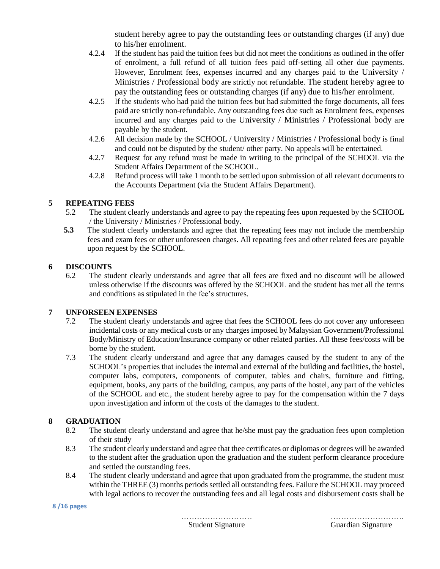student hereby agree to pay the outstanding fees or outstanding charges (if any) due to his/her enrolment.

- 4.2.4 If the student has paid the tuition fees but did not meet the conditions as outlined in the offer of enrolment, a full refund of all tuition fees paid off-setting all other due payments. However, Enrolment fees, expenses incurred and any charges paid to the University / Ministries / Professional body are strictly not refundable. The student hereby agree to pay the outstanding fees or outstanding charges (if any) due to his/her enrolment.
- 4.2.5 If the students who had paid the tuition fees but had submitted the forge documents, all fees paid are strictly non-refundable. Any outstanding fees due such as Enrolment fees, expenses incurred and any charges paid to the University / Ministries / Professional body are payable by the student.
- 4.2.6 All decision made by the SCHOOL / University / Ministries / Professional body is final and could not be disputed by the student/ other party. No appeals will be entertained.
- 4.2.7 Request for any refund must be made in writing to the principal of the SCHOOL via the Student Affairs Department of the SCHOOL.
- 4.2.8 Refund process will take 1 month to be settled upon submission of all relevant documents to the Accounts Department (via the Student Affairs Department).

# **5 REPEATING FEES**

- 5.2 The student clearly understands and agree to pay the repeating fees upon requested by the SCHOOL / the University / Ministries / Professional body.
- **5.3** The student clearly understands and agree that the repeating fees may not include the membership fees and exam fees or other unforeseen charges. All repeating fees and other related fees are payable upon request by the SCHOOL.

# **6 DISCOUNTS**

6.2 The student clearly understands and agree that all fees are fixed and no discount will be allowed unless otherwise if the discounts was offered by the SCHOOL and the student has met all the terms and conditions as stipulated in the fee's structures.

# **7 UNFORSEEN EXPENSES**

- 7.2 The student clearly understands and agree that fees the SCHOOL fees do not cover any unforeseen incidental costs or any medical costs or any charges imposed by Malaysian Government/Professional Body/Ministry of Education/Insurance company or other related parties. All these fees/costs will be borne by the student.
- 7.3 The student clearly understand and agree that any damages caused by the student to any of the SCHOOL's properties that includes the internal and external of the building and facilities, the hostel, computer labs, computers, components of computer, tables and chairs, furniture and fitting, equipment, books, any parts of the building, campus, any parts of the hostel, any part of the vehicles of the SCHOOL and etc., the student hereby agree to pay for the compensation within the 7 days upon investigation and inform of the costs of the damages to the student.

# **8 GRADUATION**

- 8.2 The student clearly understand and agree that he/she must pay the graduation fees upon completion of their study
- 8.3 The student clearly understand and agree that thee certificates or diplomas or degrees will be awarded to the student after the graduation upon the graduation and the student perform clearance procedure and settled the outstanding fees.
- 8.4 The student clearly understand and agree that upon graduated from the programme, the student must within the THREE (3) months periods settled all outstanding fees. Failure the SCHOOL may proceed with legal actions to recover the outstanding fees and all legal costs and disbursement costs shall be

#### **8 /16 pages**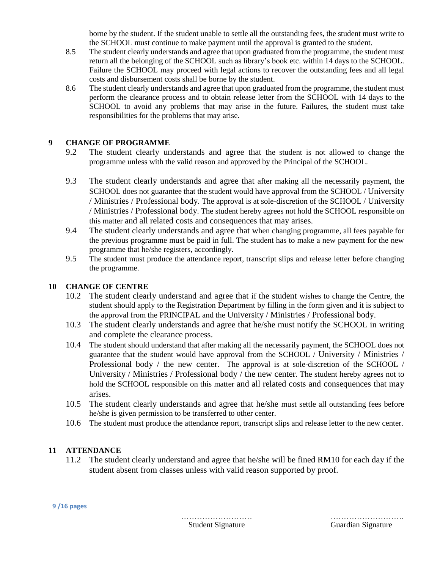borne by the student. If the student unable to settle all the outstanding fees, the student must write to the SCHOOL must continue to make payment until the approval is granted to the student.

- 8.5 The student clearly understands and agree that upon graduated from the programme, the student must return all the belonging of the SCHOOL such as library's book etc. within 14 days to the SCHOOL. Failure the SCHOOL may proceed with legal actions to recover the outstanding fees and all legal costs and disbursement costs shall be borne by the student.
- 8.6 The student clearly understands and agree that upon graduated from the programme, the student must perform the clearance process and to obtain release letter from the SCHOOL with 14 days to the SCHOOL to avoid any problems that may arise in the future. Failures, the student must take responsibilities for the problems that may arise.

# **9 CHANGE OF PROGRAMME**

- 9.2 The student clearly understands and agree that the student is not allowed to change the programme unless with the valid reason and approved by the Principal of the SCHOOL.
- 9.3 The student clearly understands and agree that after making all the necessarily payment, the SCHOOL does not guarantee that the student would have approval from the SCHOOL / University / Ministries / Professional body. The approval is at sole-discretion of the SCHOOL / University / Ministries / Professional body. The student hereby agrees not hold the SCHOOL responsible on this matter and all related costs and consequences that may arises.
- 9.4 The student clearly understands and agree that when changing programme, all fees payable for the previous programme must be paid in full. The student has to make a new payment for the new programme that he/she registers, accordingly.
- 9.5 The student must produce the attendance report, transcript slips and release letter before changing the programme.

# **10 CHANGE OF CENTRE**

- 10.2 The student clearly understand and agree that if the student wishes to change the Centre, the student should apply to the Registration Department by filling in the form given and it is subject to the approval from the PRINCIPAL and the University / Ministries / Professional body.
- 10.3 The student clearly understands and agree that he/she must notify the SCHOOL in writing and complete the clearance process.
- 10.4 The student should understand that after making all the necessarily payment, the SCHOOL does not guarantee that the student would have approval from the SCHOOL / University / Ministries / Professional body / the new center. The approval is at sole-discretion of the SCHOOL / University / Ministries / Professional body / the new center. The student hereby agrees not to hold the SCHOOL responsible on this matter and all related costs and consequences that may arises.
- 10.5 The student clearly understands and agree that he/she must settle all outstanding fees before he/she is given permission to be transferred to other center.
- 10.6 The student must produce the attendance report, transcript slips and release letter to the new center.

# **11 ATTENDANCE**

11.2 The student clearly understand and agree that he/she will be fined RM10 for each day if the student absent from classes unless with valid reason supported by proof.

……………………… ……………………….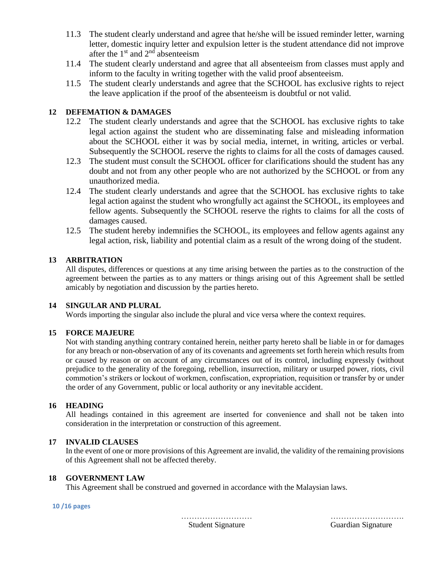- 11.3 The student clearly understand and agree that he/she will be issued reminder letter, warning letter, domestic inquiry letter and expulsion letter is the student attendance did not improve after the  $1<sup>st</sup>$  and  $2<sup>nd</sup>$  absenteeism
- 11.4 The student clearly understand and agree that all absenteeism from classes must apply and inform to the faculty in writing together with the valid proof absenteeism.
- 11.5 The student clearly understands and agree that the SCHOOL has exclusive rights to reject the leave application if the proof of the absenteeism is doubtful or not valid.

# **12 DEFEMATION & DAMAGES**

- 12.2 The student clearly understands and agree that the SCHOOL has exclusive rights to take legal action against the student who are disseminating false and misleading information about the SCHOOL either it was by social media, internet, in writing, articles or verbal. Subsequently the SCHOOL reserve the rights to claims for all the costs of damages caused.
- 12.3 The student must consult the SCHOOL officer for clarifications should the student has any doubt and not from any other people who are not authorized by the SCHOOL or from any unauthorized media.
- 12.4 The student clearly understands and agree that the SCHOOL has exclusive rights to take legal action against the student who wrongfully act against the SCHOOL, its employees and fellow agents. Subsequently the SCHOOL reserve the rights to claims for all the costs of damages caused.
- 12.5 The student hereby indemnifies the SCHOOL, its employees and fellow agents against any legal action, risk, liability and potential claim as a result of the wrong doing of the student.

## **13 ARBITRATION**

All disputes, differences or questions at any time arising between the parties as to the construction of the agreement between the parties as to any matters or things arising out of this Agreement shall be settled amicably by negotiation and discussion by the parties hereto.

### **14 SINGULAR AND PLURAL**

Words importing the singular also include the plural and vice versa where the context requires.

### **15 FORCE MAJEURE**

Not with standing anything contrary contained herein, neither party hereto shall be liable in or for damages for any breach or non-observation of any of its covenants and agreements set forth herein which results from or caused by reason or on account of any circumstances out of its control, including expressly (without prejudice to the generality of the foregoing, rebellion, insurrection, military or usurped power, riots, civil commotion's strikers or lockout of workmen, confiscation, expropriation, requisition or transfer by or under the order of any Government, public or local authority or any inevitable accident.

### **16 HEADING**

All headings contained in this agreement are inserted for convenience and shall not be taken into consideration in the interpretation or construction of this agreement.

### **17 INVALID CLAUSES**

In the event of one or more provisions of this Agreement are invalid, the validity of the remaining provisions of this Agreement shall not be affected thereby.

## **18 GOVERNMENT LAW**

This Agreement shall be construed and governed in accordance with the Malaysian laws.

**10 /16 pages**

……………………… ……………………….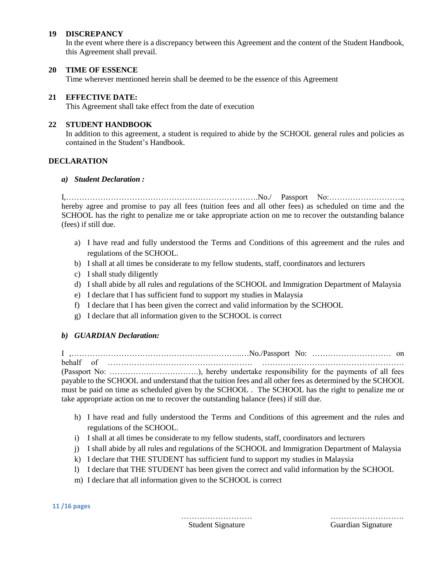### **19 DISCREPANCY**

In the event where there is a discrepancy between this Agreement and the content of the Student Handbook, this Agreement shall prevail.

#### **20 TIME OF ESSENCE**

Time wherever mentioned herein shall be deemed to be the essence of this Agreement

#### **21 EFFECTIVE DATE:**

This Agreement shall take effect from the date of execution

### **22 STUDENT HANDBOOK**

In addition to this agreement, a student is required to abide by the SCHOOL general rules and policies as contained in the Student's Handbook.

#### **DECLARATION**

#### *a) Student Declaration :*

I,……………………………………………………………….No./ Passport No:………………………., hereby agree and promise to pay all fees (tuition fees and all other fees) as scheduled on time and the SCHOOL has the right to penalize me or take appropriate action on me to recover the outstanding balance (fees) if still due.

- a) I have read and fully understood the Terms and Conditions of this agreement and the rules and regulations of the SCHOOL.
- b) I shall at all times be considerate to my fellow students, staff, coordinators and lecturers
- c) I shall study diligently
- d) I shall abide by all rules and regulations of the SCHOOL and Immigration Department of Malaysia
- e) I declare that I has sufficient fund to support my studies in Malaysia
- f) I declare that I has been given the correct and valid information by the SCHOOL
- g) I declare that all information given to the SCHOOL is correct

### *b) GUARDIAN Declaration:*

I ,………………………………………………………..…No./Passport No: ………………………… on behalf of ………………………………………………. ……………………………………………… (Passport No: …………………………….), hereby undertake responsibility for the payments of all fees payable to the SCHOOL and understand that the tuition fees and all other fees as determined by the SCHOOL must be paid on time as scheduled given by the SCHOOL . The SCHOOL has the right to penalize me or take appropriate action on me to recover the outstanding balance (fees) if still due.

- h) I have read and fully understood the Terms and Conditions of this agreement and the rules and regulations of the SCHOOL.
- i) I shall at all times be considerate to my fellow students, staff, coordinators and lecturers
- j) I shall abide by all rules and regulations of the SCHOOL and Immigration Department of Malaysia
- k) I declare that THE STUDENT has sufficient fund to support my studies in Malaysia
- l) I declare that THE STUDENT has been given the correct and valid information by the SCHOOL
- m) I declare that all information given to the SCHOOL is correct

**11 /16 pages**

……………………… ……………………….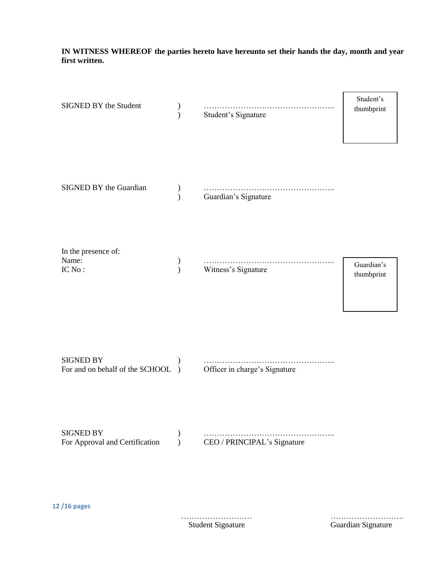# **IN WITNESS WHEREOF the parties hereto have hereunto set their hands the day, month and year first written.**

| SIGNED BY the Student                              | $\mathcal{E}$              | Student's Signature           | Student's<br>thumbprint  |
|----------------------------------------------------|----------------------------|-------------------------------|--------------------------|
| SIGNED BY the Guardian                             | $\lambda$                  | .<br>Guardian's Signature     |                          |
| In the presence of:<br>Name:<br>IC No:             | $\mathcal{Y}$<br>$\lambda$ | Witness's Signature           | Guardian's<br>thumbprint |
| SIGNED BY<br>For and on behalf of the SCHOOL       | $\rightarrow$              | Officer in charge's Signature |                          |
| <b>SIGNED BY</b><br>For Approval and Certification | $\mathcal{Y}$<br>$\lambda$ | CEO / PRINCIPAL's Signature   |                          |
| 12/16 pages                                        |                            |                               |                          |

……………………… ………………………. Guardian Signature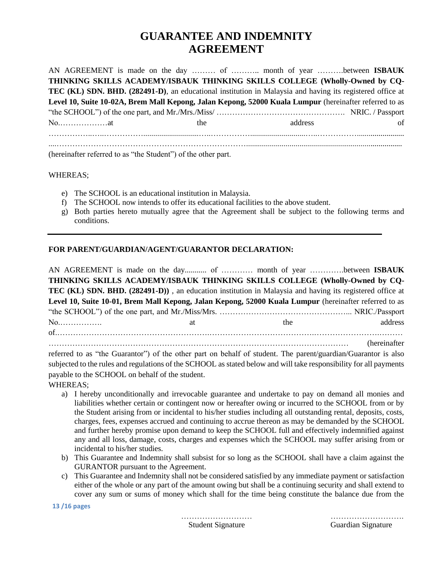# **GUARANTEE AND INDEMNITY AGREEMENT**

AN AGREEMENT is made on the day ……… of ……….. month of year ……….between **ISBAUK THINKING SKILLS ACADEMY/ISBAUK THINKING SKILLS COLLEGE (Wholly-Owned by CQ-TEC (KL) SDN. BHD. (282491-D)**, an educational institution in Malaysia and having its registered office at **Level 10, Suite 10-02A, Brem Mall Kepong, Jalan Kepong, 52000 Kuala Lumpur** (hereinafter referred to as "the SCHOOL") of the one part, and Mr./Mrs./Miss/ …………………………………………. NRIC. / Passport No.………………at the address of ……………..…..……………............................…..……………............................…..……………........................ ....………………………………………………………………...............................................................................

(hereinafter referred to as "the Student") of the other part.

#### WHEREAS;

- e) The SCHOOL is an educational institution in Malaysia.
- f) The SCHOOL now intends to offer its educational facilities to the above student.
- g) Both parties hereto mutually agree that the Agreement shall be subject to the following terms and conditions.

## **FOR PARENT/GUARDIAN/AGENT/GUARANTOR DECLARATION:**

AN AGREEMENT is made on the day........... of ………… month of year ………….between **ISBAUK THINKING SKILLS ACADEMY/ISBAUK THINKING SKILLS COLLEGE (Wholly-Owned by CQ-TEC (KL) SDN. BHD. (282491-D))** , an education institution in Malaysia and having its registered office at **Level 10, Suite 10-01, Brem Mall Kepong, Jalan Kepong, 52000 Kuala Lumpur** (hereinafter referred to as "the SCHOOL") of the one part, and Mr./Miss/Mrs. …………………………………………... NRIC./Passport No. A subset of the address and the address and the address and the address and the address and the address and the address and the address and the address and the address and the address and the address and the address an of.………………………………………………….………………………………….…………………….……… …………………………………………………………………………………………………… (hereinafter referred to as "the Guarantor") of the other part on behalf of student. The parent/guardian/Guarantor is also

subjected to the rules and regulations of the SCHOOL as stated below and will take responsibility for all payments payable to the SCHOOL on behalf of the student.

WHEREAS;

- a) I hereby unconditionally and irrevocable guarantee and undertake to pay on demand all monies and liabilities whether certain or contingent now or hereafter owing or incurred to the SCHOOL from or by the Student arising from or incidental to his/her studies including all outstanding rental, deposits, costs, charges, fees, expenses accrued and continuing to accrue thereon as may be demanded by the SCHOOL and further hereby promise upon demand to keep the SCHOOL full and effectively indemnified against any and all loss, damage, costs, charges and expenses which the SCHOOL may suffer arising from or incidental to his/her studies.
- b) This Guarantee and Indemnity shall subsist for so long as the SCHOOL shall have a claim against the GURANTOR pursuant to the Agreement.
- c) This Guarantee and Indemnity shall not be considered satisfied by any immediate payment or satisfaction either of the whole or any part of the amount owing but shall be a continuing security and shall extend to cover any sum or sums of money which shall for the time being constitute the balance due from the

**13 /16 pages**

……………………… ……………………….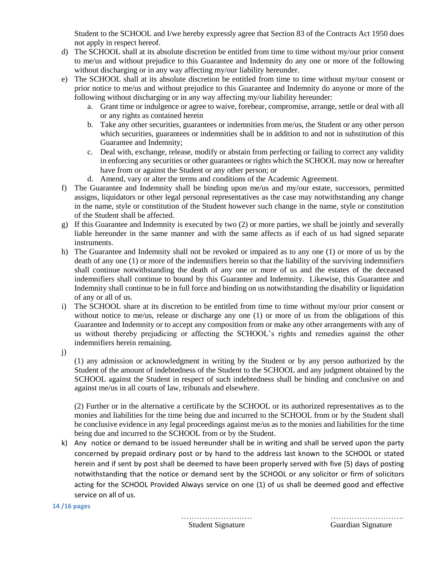Student to the SCHOOL and I/we hereby expressly agree that Section 83 of the Contracts Act 1950 does not apply in respect hereof.

- d) The SCHOOL shall at its absolute discretion be entitled from time to time without my/our prior consent to me/us and without prejudice to this Guarantee and Indemnity do any one or more of the following without discharging or in any way affecting my/our liability hereunder.
- e) The SCHOOL shall at its absolute discretion be entitled from time to time without my/our consent or prior notice to me/us and without prejudice to this Guarantee and Indemnity do anyone or more of the following without discharging or in any way affecting my/our liability hereunder:
	- a. Grant time or indulgence or agree to waive, forebear, compromise, arrange, settle or deal with all or any rights as contained herein
	- b. Take any other securities, guarantees or indemnities from me/us, the Student or any other person which securities, guarantees or indemnities shall be in addition to and not in substitution of this Guarantee and Indemnity;
	- c. Deal with, exchange, release, modify or abstain from perfecting or failing to correct any validity in enforcing any securities or other guarantees or rights which the SCHOOL may now or hereafter have from or against the Student or any other person; or
	- d. Amend, vary or alter the terms and conditions of the Academic Agreement.
- f) The Guarantee and Indemnity shall be binding upon me/us and my/our estate, successors, permitted assigns, liquidators or other legal personal representatives as the case may notwithstanding any change in the name, style or constitution of the Student however such change in the name, style or constitution of the Student shall be affected.
- g) If this Guarantee and Indemnity is executed by two (2) or more parties, we shall be jointly and severally liable hereunder in the same manner and with the same affects as if each of us had signed separate instruments.
- h) The Guarantee and Indemnity shall not be revoked or impaired as to any one (1) or more of us by the death of any one (1) or more of the indemnifiers herein so that the liability of the surviving indemnifiers shall continue notwithstanding the death of any one or more of us and the estates of the deceased indemnifiers shall continue to bound by this Guarantee and Indemnity. Likewise, this Guarantee and Indemnity shall continue to be in full force and binding on us notwithstanding the disability or liquidation of any or all of us.
- i) The SCHOOL share at its discretion to be entitled from time to time without my/our prior consent or without notice to me/us, release or discharge any one (1) or more of us from the obligations of this Guarantee and Indemnity or to accept any composition from or make any other arrangements with any of us without thereby prejudicing or affecting the SCHOOL's rights and remedies against the other indemnifiers herein remaining.

j)

(1) any admission or acknowledgment in writing by the Student or by any person authorized by the Student of the amount of indebtedness of the Student to the SCHOOL and any judgment obtained by the SCHOOL against the Student in respect of such indebtedness shall be binding and conclusive on and against me/us in all courts of law, tribunals and elsewhere.

(2) Further or in the alternative a certificate by the SCHOOL or its authorized representatives as to the monies and liabilities for the time being due and incurred to the SCHOOL from or by the Student shall be conclusive evidence in any legal proceedings against me/us as to the monies and liabilities for the time being due and incurred to the SCHOOL from or by the Student.

k) Any notice or demand to be issued hereunder shall be in writing and shall be served upon the party concerned by prepaid ordinary post or by hand to the address last known to the SCHOOL or stated herein and if sent by post shall be deemed to have been properly served with five (5) days of posting notwithstanding that the notice or demand sent by the SCHOOL or any solicitor or firm of solicitors acting for the SCHOOL Provided Always service on one (1) of us shall be deemed good and effective service on all of us.

**14 /16 pages**

……………………… ……………………….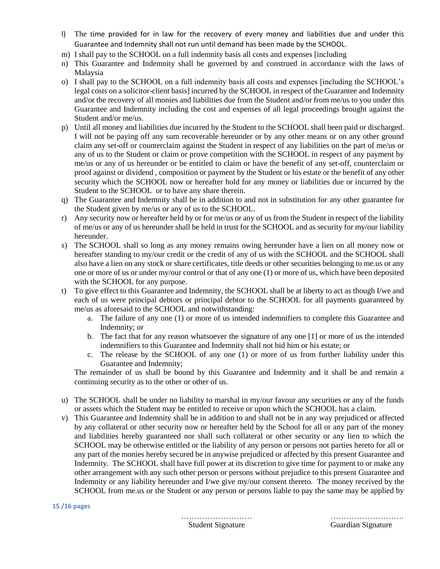- l) The time provided for in law for the recovery of every money and liabilities due and under this Guarantee and Indemnity shall not run until demand has been made by the SCHOOL.
- m) I shall pay to the SCHOOL on a full indemnity basis all costs and expenses [including
- n) This Guarantee and Indemnity shall be governed by and construed in accordance with the laws of Malaysia
- o) I shall pay to the SCHOOL on a full indemnity basis all costs and expenses [including the SCHOOL's legal costs on a solicitor-client basis] incurred by the SCHOOL in respect of the Guarantee and Indemnity and/or the recovery of all monies and liabilities due from the Student and/or from me/us to you under this Guarantee and Indemnity including the cost and expenses of all legal proceedings brought against the Student and/or me/us.
- p) Until all money and liabilities due incurred by the Student to the SCHOOL shall been paid or discharged. I will not be paying off any sum recoverable hereunder or by any other means or on any other ground claim any set-off or counterclaim against the Student in respect of any liabilities on the part of me/us or any of us to the Student or claim or prove competition with the SCHOOL in respect of any payment by me/us or any of us hereunder or be entitled to claim or have the benefit of any set-off, counterclaim or proof against or dividend , composition or payment by the Student or his estate or the benefit of any other security which the SCHOOL now or hereafter hold for any money or liabilities due or incurred by the Student to the SCHOOL or to have any share therein.
- q) The Guarantee and Indemnity shall be in addition to and not in substitution for any other guarantee for the Student given by me/us or any of us to the SCHOOL.
- r) Any security now or hereafter held by or for me/us or any of us from the Student in respect of the liability of me/us or any of us hereunder shall be held in trust for the SCHOOL and as security for my/our liability hereunder.
- s) The SCHOOL shall so long as any money remains owing hereunder have a lien on all money now or hereafter standing to my/our credit or the credit of any of us with the SCHOOL and the SCHOOL shall also have a lien on any stock or share certificates, title deeds or other securities belonging to me.us or any one or more of us or under my/our control or that of any one (1) or more of us, which have been deposited with the SCHOOL for any purpose.
- t) To give effect to this Guarantee and Indemnity, the SCHOOL shall be at liberty to act as though I/we and each of us were principal debtors or principal debtor to the SCHOOL for all payments guaranteed by me/us as aforesaid to the SCHOOL and notwithstanding:
	- a. The failure of any one (1) or more of us intended indemnifiers to complete this Guarantee and Indemnity; or
	- b. The fact that for any reason whatsoever the signature of any one [1] or more of us the intended indemnifiers to this Guarantee and Indemnity shall not bid him or his estate; or
	- c. The release by the SCHOOL of any one (1) or more of us from further liability under this Guarantee and Indemnity;

The remainder of us shall be bound by this Guarantee and Indemnity and it shall be and remain a continuing security as to the other or other of us.

- u) The SCHOOL shall be under no liability to marshal in my/our favour any securities or any of the funds or assets which the Student may be entitled to receive or upon which the SCHOOL has a claim.
- v) This Guarantee and Indemnity shall be in addition to and shall not be in any way prejudiced or affected by any collateral or other security now or hereafter held by the School for all or any part of the money and liabilities hereby guaranteed nor shall such collateral or other security or any lien to which the SCHOOL may be otherwise entitled or the liability of any person or persons not parties hereto for all or any part of the monies hereby secured be in anywise prejudiced or affected by this present Guarantee and Indemnity. The SCHOOL shall have full power at its discretion to give time for payment to or make any other arrangement with any such other person or persons without prejudice to this present Guarantee and Indemnity or any liability hereunder and I/we give my/our consent thereto. The money received by the SCHOOL from me.us or the Student or any person or persons liable to pay the same may be applied by

#### **15 /16 pages**

……………………… ……………………….